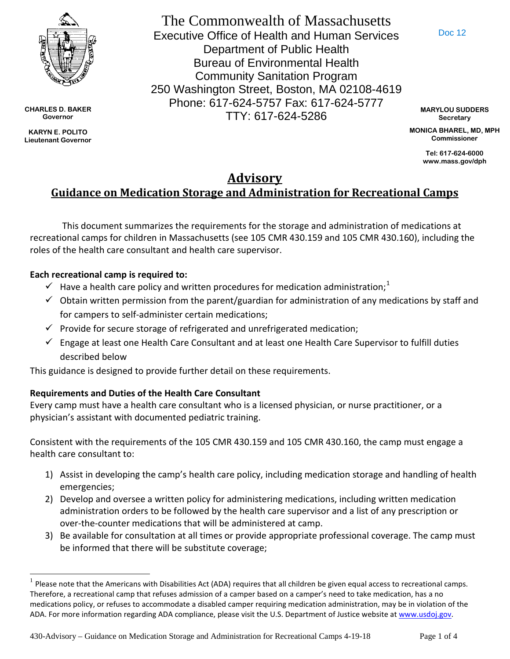

**CHARLES D. BAKER Governor**

**KARYN E. POLITO Lieutenant Governor** 

The Commonwealth of Massachusetts Executive Office of Health and Human Services Department of Public Health Bureau of Environmental Health Community Sanitation Program 250 Washington Street, Boston, MA 02108-4619 Phone: 617-624-5757 Fax: 617-624-5777 TTY: 617-624-5286

Doc 12

**MARYLOU SUDDERS Secretary**

**MONICA BHAREL, MD, MPH Commissioner**

> **Tel: 617-624-6000 www.mass.gov/dph**

# **Advisory Guidance on Medication Storage and Administration for Recreational Camps**

This document summarizes the requirements for the storage and administration of medications at recreational camps for children in Massachusetts (see 105 CMR 430.159 and 105 CMR 430.160), including the roles of the health care consultant and health care supervisor.

### **Each recreational camp is required to:**

- $\checkmark$  Have a health care policy and written procedures for medication administration;<sup>[1](#page-0-0)</sup>
- $\checkmark$  Obtain written permission from the parent/guardian for administration of any medications by staff and for campers to self-administer certain medications;
- $\checkmark$  Provide for secure storage of refrigerated and unrefrigerated medication;
- $\checkmark$  Engage at least one Health Care Consultant and at least one Health Care Supervisor to fulfill duties described below

This guidance is designed to provide further detail on these requirements.

## **Requirements and Duties of the Health Care Consultant**

Every camp must have a health care consultant who is a licensed physician, or nurse practitioner, or a physician's assistant with documented pediatric training.

Consistent with the requirements of the 105 CMR 430.159 and 105 CMR 430.160, the camp must engage a health care consultant to:

- 1) Assist in developing the camp's health care policy, including medication storage and handling of health emergencies;
- 2) Develop and oversee a written policy for administering medications, including written medication administration orders to be followed by the health care supervisor and a list of any prescription or over-the-counter medications that will be administered at camp.
- 3) Be available for consultation at all times or provide appropriate professional coverage. The camp must be informed that there will be substitute coverage;

430-Advisory – Guidance on Medication Storage and Administration for Recreational Camps 4-19-18 Page 1 of 4

<span id="page-0-0"></span> $1$  Please note that the Americans with Disabilities Act (ADA) requires that all children be given equal access to recreational camps. Therefore, a recreational camp that refuses admission of a camper based on a camper's need to take medication, has a no medications policy, or refuses to accommodate a disabled camper requiring medication administration, may be in violation of the ADA. For more information regarding ADA compliance, please visit the U.S. Department of Justice website at [www.usdoj.gov.](http://www.usdoj.gov/)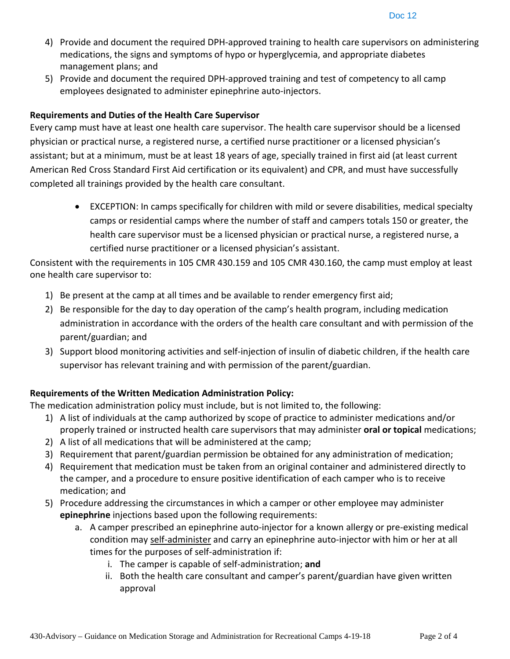- 4) Provide and document the required DPH-approved training to health care supervisors on administering medications, the signs and symptoms of hypo or hyperglycemia, and appropriate diabetes management plans; and
- 5) Provide and document the required DPH-approved training and test of competency to all camp employees designated to administer epinephrine auto-injectors.

#### **Requirements and Duties of the Health Care Supervisor**

Every camp must have at least one health care supervisor. The health care supervisor should be a licensed physician or practical nurse, a registered nurse, a certified nurse practitioner or a licensed physician's assistant; but at a minimum, must be at least 18 years of age, specially trained in first aid (at least current American Red Cross Standard First Aid certification or its equivalent) and CPR, and must have successfully completed all trainings provided by the health care consultant.

• EXCEPTION: In camps specifically for children with mild or severe disabilities, medical specialty camps or residential camps where the number of staff and campers totals 150 or greater, the health care supervisor must be a licensed physician or practical nurse, a registered nurse, a certified nurse practitioner or a licensed physician's assistant.

Consistent with the requirements in 105 CMR 430.159 and 105 CMR 430.160, the camp must employ at least one health care supervisor to:

- 1) Be present at the camp at all times and be available to render emergency first aid;
- 2) Be responsible for the day to day operation of the camp's health program, including medication administration in accordance with the orders of the health care consultant and with permission of the parent/guardian; and
- 3) Support blood monitoring activities and self-injection of insulin of diabetic children, if the health care supervisor has relevant training and with permission of the parent/guardian.

#### **Requirements of the Written Medication Administration Policy:**

The medication administration policy must include, but is not limited to, the following:

- 1) A list of individuals at the camp authorized by scope of practice to administer medications and/or properly trained or instructed health care supervisors that may administer **oral or topical** medications;
- 2) A list of all medications that will be administered at the camp;
- 3) Requirement that parent/guardian permission be obtained for any administration of medication;
- 4) Requirement that medication must be taken from an original container and administered directly to the camper, and a procedure to ensure positive identification of each camper who is to receive medication; and
- 5) Procedure addressing the circumstances in which a camper or other employee may administer **epinephrine** injections based upon the following requirements:
	- a. A camper prescribed an epinephrine auto-injector for a known allergy or pre-existing medical condition may self-administer and carry an epinephrine auto-injector with him or her at all times for the purposes of self-administration if:
		- i. The camper is capable of self-administration; **and**
		- ii. Both the health care consultant and camper's parent/guardian have given written approval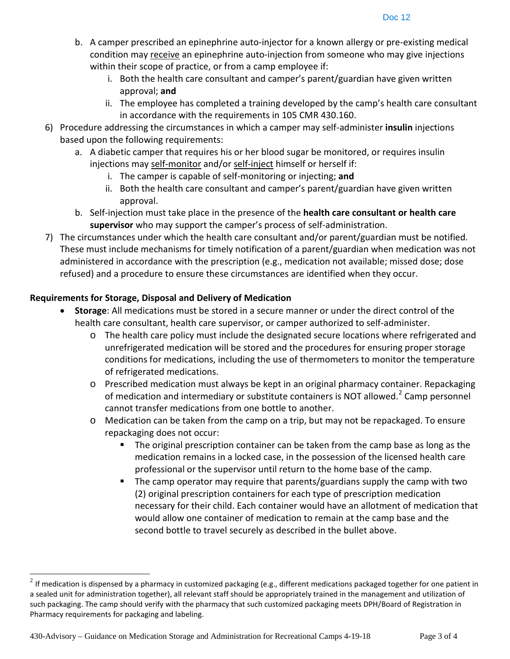- b. A camper prescribed an epinephrine auto-injector for a known allergy or pre-existing medical condition may receive an epinephrine auto-injection from someone who may give injections within their scope of practice, or from a camp employee if:
	- i. Both the health care consultant and camper's parent/guardian have given written approval; **and**
	- ii. The employee has completed a training developed by the camp's health care consultant in accordance with the requirements in 105 CMR 430.160.
- 6) Procedure addressing the circumstances in which a camper may self-administer **insulin** injections based upon the following requirements:
	- a. A diabetic camper that requires his or her blood sugar be monitored, or requires insulin injections may self-monitor and/or self-inject himself or herself if:
		- i. The camper is capable of self-monitoring or injecting; **and**
		- ii. Both the health care consultant and camper's parent/guardian have given written approval.
	- b. Self-injection must take place in the presence of the **health care consultant or health care supervisor** who may support the camper's process of self-administration.
- 7) The circumstances under which the health care consultant and/or parent/guardian must be notified. These must include mechanisms for timely notification of a parent/guardian when medication was not administered in accordance with the prescription (e.g., medication not available; missed dose; dose refused) and a procedure to ensure these circumstances are identified when they occur.

#### **Requirements for Storage, Disposal and Delivery of Medication**

- **Storage**: All medications must be stored in a secure manner or under the direct control of the health care consultant, health care supervisor, or camper authorized to self-administer.
	- o The health care policy must include the designated secure locations where refrigerated and unrefrigerated medication will be stored and the procedures for ensuring proper storage conditions for medications, including the use of thermometers to monitor the temperature of refrigerated medications.
	- o Prescribed medication must always be kept in an original pharmacy container. Repackaging of medication and intermediary or substitute containers is NOT allowed.<sup>[2](#page-2-0)</sup> Camp personnel cannot transfer medications from one bottle to another.
	- o Medication can be taken from the camp on a trip, but may not be repackaged. To ensure repackaging does not occur:
		- The original prescription container can be taken from the camp base as long as the medication remains in a locked case, in the possession of the licensed health care professional or the supervisor until return to the home base of the camp.
		- The camp operator may require that parents/guardians supply the camp with two (2) original prescription containers for each type of prescription medication necessary for their child. Each container would have an allotment of medication that would allow one container of medication to remain at the camp base and the second bottle to travel securely as described in the bullet above.

<span id="page-2-0"></span> $2$  If medication is dispensed by a pharmacy in customized packaging (e.g., different medications packaged together for one patient in a sealed unit for administration together), all relevant staff should be appropriately trained in the management and utilization of such packaging. The camp should verify with the pharmacy that such customized packaging meets DPH/Board of Registration in Pharmacy requirements for packaging and labeling.